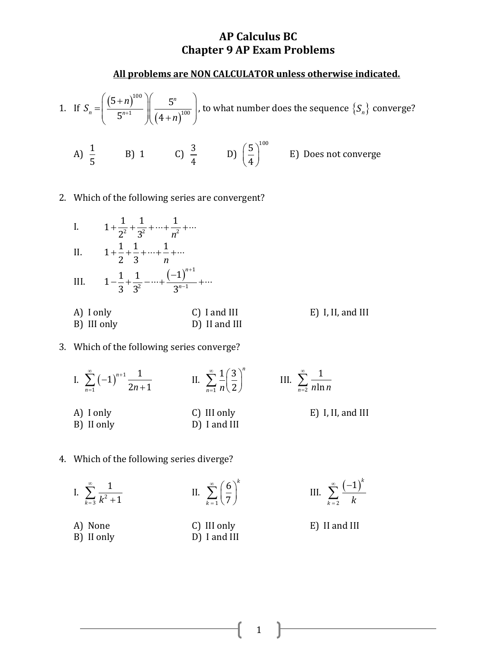#### **All problems are NON CALCULATOR unless otherwise indicated.**

1. If 
$$
S_n = \left(\frac{(5+n)^{100}}{5^{n+1}}\right) \left(\frac{5^n}{(4+n)^{100}}\right)
$$
, to what number does the sequence  $\{S_n\}$  converge?

A)  $\frac{1}{7}$ 5 B) 1 C)  $\frac{3}{1}$ 4 D)  $\left(\frac{5}{1}\right)^{100}$  $\left(\frac{5}{4}\right)^{100}$  E) Does not converge

2. Which of the following series are convergent?



#### 3. Which of the following series converge?

I.  $\sum (-1)^{n+1}$ 1  $1)^{n+1} \frac{1}{2n+1}$ *n*  $\sum_{n=1}$  / 2*n*  $\sum_{n=1}^{\infty}$   $($   $\lambda^{n+1})$  $=$  $\overline{a}$  $\sum_{n=1}^{\infty}$   $\left(-1\right)^{n+1} \frac{1}{2n+1}$  II. 1  $1/3$ 2 *n*  $\sum_{n=1}$  *n* ∞  $\sum_{n=1}^{\infty} \frac{1}{n} \left( \frac{3}{2} \right)^n$  III. 2 1  $\sum_{n=2}$  *n* ln *n* ∞  $\sum_{n=2}$ A) I only C) III only E) I, II, and III B) II only D) I and III

#### 4. Which of the following series diverge?

- I.  $\sum_{k=3}^{ } \frac{ }{k^2}$ 1  $\sum_{k=3} k^2 + 1$ ∞  $\sum_{k=3}^{\ } \frac{1}{k^2 +}$ II. 1 6 7 *k k* ∞  $\sum_{k=1}^{\infty} \left(\frac{6}{7}\right)^{k}$ III. A) None C) III only E) II and III
- 
- B) II only D) I and III

- $(-1)^{r}$ 2 1 *k*  $\sum_{k=2}$  *k* ∞ =
-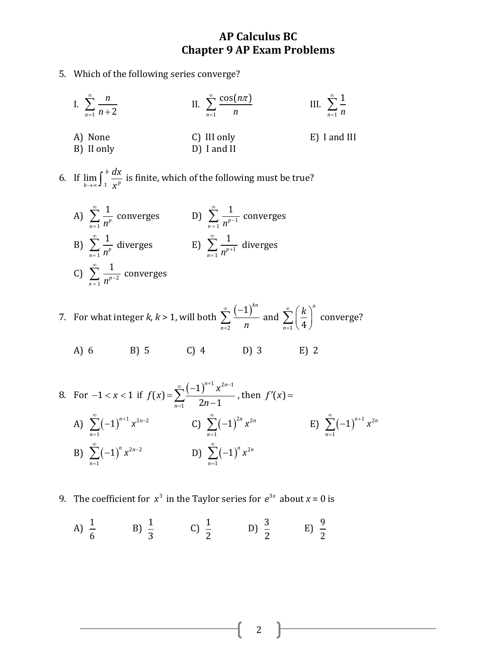- 5. Which of the following series converge?
	- I.  $\sum_{n=1}$  *n* + 2 *n n* ∞  $\sum_{n=1}^{\infty} \frac{n}{n+1}$ II. 1  $cos(n\pi)$ *n n n*  $\hat{=}$  cos( $n\pi$  $\sum_{n=1}$ III. 1 1  $\sum_{n=1}$  *n* ∞  $\sum_{n=1}$ A) None C) III only E) I and III B) II only D) I and II
- 6. If  $\lim_{b \to \infty} \int_{1}^{b}$  $\lim_{b\to\infty}$ **J** 1  $\chi^p$ *dx*  $\lim_{x \to \infty} \int_{1}^{b} \frac{dx}{x^p}$  is finite, which of the following must be true?
	- A) 1 1  $\sum_{n=1}^{\infty} n^p$ ∞  $\sum_{n=1}^{\infty} \frac{1}{n^p}$  converges D)  $\sum_{n=1}^{\infty} \frac{1}{n^{p-1}}$ 1  $\sum_{n=1}^{\infty} n^p$ ∞  $\sum_{n=1}^{\infty} \frac{1}{n^{p-1}}$  converges B) 1 1  $\sum_{n=1}^{\infty} n^p$ ∞  $\sum_{n=1}^{\infty} \frac{1}{n^p}$  diverges E)  $\sum_{n=1}^{\infty} \frac{1}{n^{p+1}}$ 1  $\sum_{n=1}^{\infty} n^p$ ∞  $\sum_{n=1}^{\infty} \frac{1}{n^{p+1}}$  diverges C)  $\sum_{n=1}^{\infty} \frac{1}{n^{p-2}}$ 1  $\sum_{n=1}^{\infty} n^p$ ∞  $\sum_{n=1}^{\infty} \frac{1}{n^{p-2}}$  converges
- 7. For what integer *k*, *k* > 1, will both  $(-1)^{7}$ 2  $1)^{kn}$  $\sum_{n=2}$  *n* ∞  $=$  $\sum_{n=1}^{\infty} \frac{(-1)^{n}}{n}$  and  $\frac{1}{1}$   $(4)$ *n n*  $\sum_{k=1}^{\infty}$  (*k*  $\sum_{n=1}^{\infty} \left(\frac{k}{4}\right)^n$  converge?

A) 6 B) 5 C) 4 D) 3 E) 2

8. For 
$$
-1 < x < 1
$$
 if  $f(x) = \sum_{n=1}^{\infty} \frac{(-1)^{n+1} x^{2n-1}}{2n-1}$ , then  $f'(x) =$   
\nA)  $\sum_{n=1}^{\infty} (-1)^{n+1} x^{2n-2}$   
\nC)  $\sum_{n=1}^{\infty} (-1)^{2n} x^{2n}$   
\nD)  $\sum_{n=1}^{\infty} (-1)^{n} x^{2n}$   
\nE)  $\sum_{n=1}^{\infty} (-1)^{n+1} x^{2n}$ 

- 9. The coefficient for  $x^3$  in the Taylor series for  $e^{3x}$  about  $x = 0$  is
	- A)  $\frac{1}{\epsilon}$ 6  $B) \frac{1}{2}$ 3 C)  $\frac{1}{2}$ 2  $(D) \frac{3}{2}$ 2  $E\left(\frac{9}{2}\right)$ 2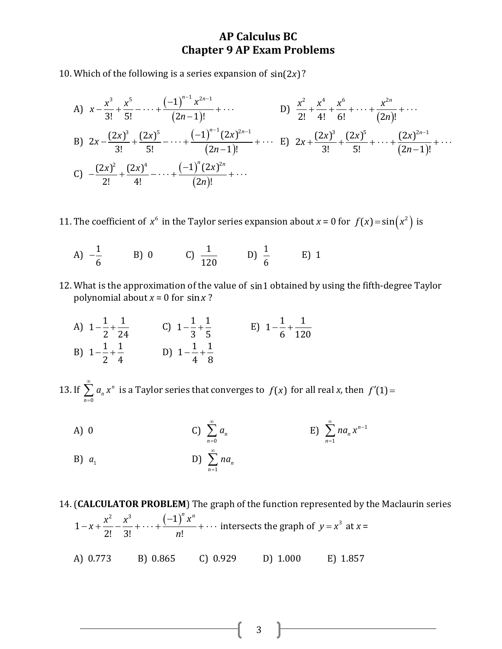10. Which of the following is a series expansion of  $sin(2x)$ ?

A) 
$$
x - \frac{x^3}{3!} + \frac{x^5}{5!} - \dots + \frac{(-1)^{n-1} x^{2n-1}}{(2n-1)!} + \dots
$$
  
\nB)  $2x - \frac{(2x)^3}{3!} + \frac{(2x)^5}{5!} - \dots + \frac{(-1)^{n-1} (2x)^{2n-1}}{(2n-1)!} + \dots$   
\nC)  $-\frac{(2x)^2}{2!} + \frac{(2x)^4}{4!} - \dots + \frac{(-1)^n (2x)^{2n}}{(2n-1)!} + \dots$   
\nD)  $\frac{x^2}{2!} + \frac{x^4}{4!} + \frac{x^6}{6!} + \dots + \frac{x^{2n}}{(2n)!} + \dots$   
\nE)  $2x + \frac{(2x)^3}{3!} + \frac{(2x)^5}{5!} + \dots + \frac{(2x)^{2n-1}}{(2n-1)!} + \dots$   
\nC)  $-\frac{(2x)^2}{2!} + \frac{(2x)^4}{4!} - \dots + \frac{(-1)^n (2x)^{2n}}{(2n)!} + \dots$ 

- 11. The coefficient of  $x^6$  in the Taylor series expansion about  $x = 0$  for  $f(x) = \sin(x^2)$  is
	- A)  $-\frac{1}{6}$ 6  $-\frac{1}{6}$  B) 0 C)  $\frac{1}{12}$ 120  $(D) \frac{1}{2}$ 6 E) 1
- 12. What is the approximation of the value of sin1 obtained by using the fifth-degree Taylor polynomial about *x* = 0 for sin*x* ?
	- A)  $1 \frac{1}{2} + \frac{1}{2}$ 2 24  $-\frac{1}{2} + \frac{1}{2}$  C)  $1 - \frac{1}{2} + \frac{1}{2}$ 3 5  $-\frac{1}{2} + \frac{1}{2}$  E)  $1 - \frac{1}{2} + \frac{1}{2}$ 6 120  $-\frac{1}{5}+$ B)  $1 - \frac{1}{2} + \frac{1}{2}$ 2 4  $-\frac{1}{2}+\frac{1}{4}$  D)  $1-\frac{1}{4}+\frac{1}{8}$ 4 8  $-\frac{1}{4}$

13. If 0 *n n n a x* ∞  $\sum_{n=0} a_n x^n$  is a Taylor series that converges to  $f(x)$  for all real *x*, then  $f'(1)$  =

- $A)$  0 0 *n n a* ∞  $\sum_{n=0}$ E)  $\sum$  na<sub>n</sub>  $x^{n-1}$ 1 *n n n na x*  $\sum_{n=1}^{\infty} n a_n x^{n-1}$  $\sum_{n=1}$
- B)  $a_1$ D) 1 *n n na* ∞  $\sum_{n=1}$

14. (**CALCULATOR PROBLEM**) The graph of the function represented by the Maclaurin series  $2 x^3$   $(-1)^7$  $1-x+\frac{x^2}{2!}-\frac{x^3}{3!}+\cdots+\frac{(-1)^n x^n}{n!}$ **ECULATUR PROBLEM**) *n*  $-x+\frac{x^2}{2!}-\frac{x^3}{2!}+\cdots+\frac{(-1)^n x^n}{n!}+\cdots$  intersects the graph of  $y=x^3$  at  $x=$ A) 0.773 B) 0.865 C) 0.929 D) 1.000 E) 1.857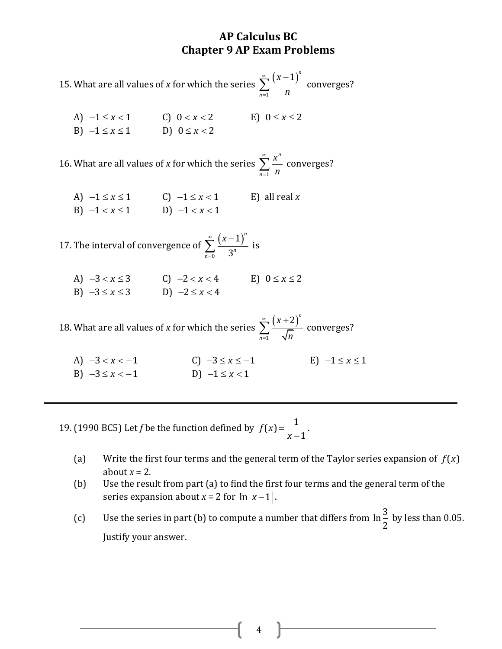15. What are all values of *x* for which the series  $(x-1)^n$ 1 *n n* ∞  $=$  $\sum_{n=0}^{\infty} \frac{(x-1)^n}{n}$  converges?

A)  $-1 \le x < 1$ C)  $0 < x < 2$   $E$ )  $0 \le x \le 2$ B)  $-1 \le x \le 1$ D)  $0 \le x < 2$ 

16. What are all values of *x* for which the series 1 *n n x n* ∞  $\sum_{n=1}^{\infty} \frac{x}{n}$  converges?

| A) $-1 \leq x \leq 1$ | C) $-1 \le x < 1$ | E) all real $x$ |
|-----------------------|-------------------|-----------------|
| B) $-1 < x \le 1$     | D) $-1 < x < 1$   |                 |

17. The interval of convergence of  $(x-1)^{t}$ 0 1 3 *n*  $\sum_{n=0}$  3<sup>n</sup> ∞ (*x* =  $\sum_{n=1}^{\infty} \frac{(x-1)^n}{2^n}$  is

A)  $-3 < x \le 3$  <br>C)  $-2 < x < 4$  <br>E)  $0 \le x \le 2$ B)  $-3 \le x \le 3$  D)  $-2 \le x < 4$ 

18. What are all values of *x* for which the series  $(x+2)^{7}$ 1 2 *n n x n* ∞  $=$  $\sum_{n=-\infty}^{\infty} \frac{(x+2)^n}{\sqrt{n}}$  converges?

A)  $-3 < x < -1$ C)  $-3 \le x \le -1$ E)  $-1 \leq x \leq 1$ B)  $-3 \le x < -1$ D)  $-1 \le x < 1$ 

19. (1990 BC5) Let *f* be the function defined by  $f(x) = \frac{1}{x}$ 1 *f x x*  $=$  $\overline{a}$ .

- (a) Write the first four terms and the general term of the Taylor series expansion of  $f(x)$ about  $x = 2$ .
- (b) Use the result from part (a) to find the first four terms and the general term of the series expansion about *x* = 2 for  $\ln |x-1|$ .
- (c) Use the series in part (b) to compute a number that differs from  $\ln \frac{3}{5}$ 2 by less than 0.05. Justify your answer.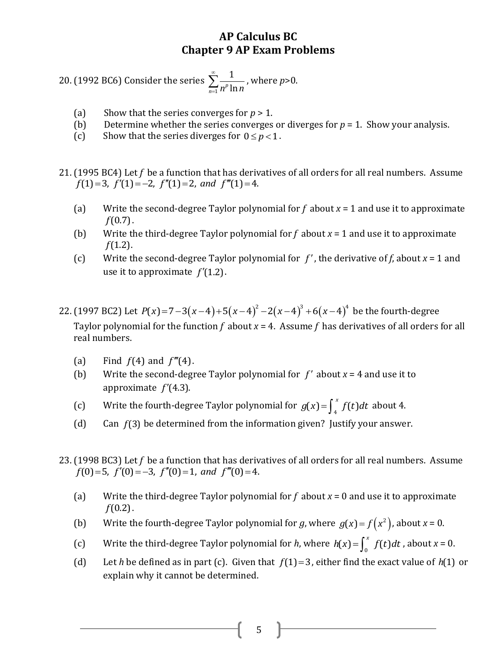20. (1992 BC6) Consider the series 1 1  $\sum_{n=1}$   $n^p$   $\ln n$ ∞  $\sum_{n=1}^{\infty} \frac{1}{n^p \ln n}$ , where  $p > 0$ .

- (a) Show that the series converges for *p* > 1.
- (b) Determine whether the series converges or diverges for  $p = 1$ . Show your analysis.
- (c) Show that the series diverges for  $0 \le p < 1$ .
- 21. (1995 BC4) Let *f* be a function that has derivatives of all orders for all real numbers. Assume *f f f* be a function that has derivativ  $f(1)=3$ ,  $f'(1)=-2$ ,  $f''(1)=2$ , and  $f'''(1)=4$ .
	- (a) Write the second-degree Taylor polynomial for *f* about *x* = 1 and use it to approximate *f*(0.7).
	- (b) Write the third-degree Taylor polynomial for  $f$  about  $x = 1$  and use it to approximate *f*(1.2).
	- (c) Write the second-degree Taylor polynomial for  $f'$ , the derivative of f, about  $x = 1$  and use it to approximate *f* (1.2).
- 22. (1997 BC2) Let  $P(x)=7-3(x-4)+5(x-4)^2-2(x-4)^3+6(x-4)^4$  be the fourth-degree Taylor polynomial for the function  $f$  about  $x = 4$ . Assume  $f$  has derivatives of all orders for all real numbers.
	- (a) Find  $f(4)$  and  $f'''(4)$ .
	- (b) Write the second-degree Taylor polynomial for  $f'$  about  $x = 4$  and use it to approximate *f* (4.3).
	- (c) Write the fourth-degree Taylor polynomial for  $g(x) = \int_{4}^{x} f(t) dt$  about 4.
	- (d) Can *f*(3) be determined from the information given? Justify your answer.
- 23. (1998 BC3) Let *f* be a function that has derivatives of all orders for all real numbers. Assume *f f f be* a function that has derivative *f*(0) = 5, *f'*(0) = -3, *f'*(0) = 1, and *f''*(0) = 4.
	- (a) Write the third-degree Taylor polynomial for *f* about *x* = 0 and use it to approximate *f*(0.2).
	- (b) Write the fourth-degree Taylor polynomial for g, where  $g(x) = f(x^2)$ , about  $x = 0$ .
	- (c) Write the third-degree Taylor polynomial for *h*, where  $h(x) = \int_0^x f(t) dt$ , about  $x = 0$ .
	- (d) Let *h* be defined as in part (c). Given that  $f(1)=3$ , either find the exact value of  $h(1)$  or explain why it cannot be determined.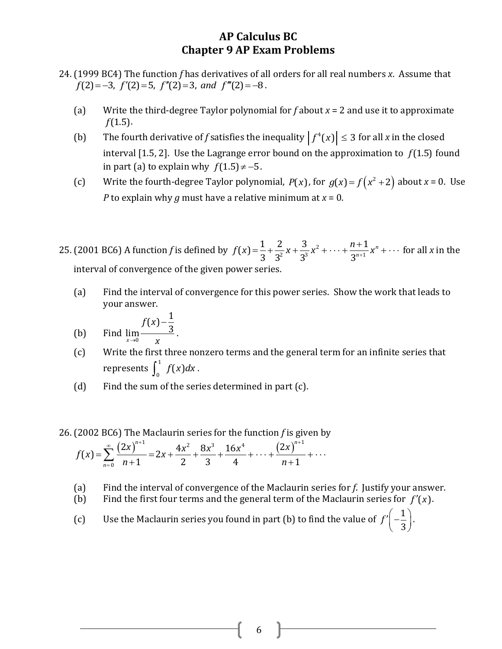- 24. (1999 BC4) The function *f* has derivatives of all orders for all real numbers *x*. Assume that *f* (1999 BC4) The function *f* has derivatives of all ord *f* (2) = -3, *f* '(2) = 5, *f* ''(2) = 3, and *f* '''(2) = -8.
	- (a) Write the third-degree Taylor polynomial for *f* about *x* = 2 and use it to approximate *f*(1.5).
	- (b) The fourth derivative of *f* satisfies the inequality  $|f^4(x)| \leq 3$  for all *x* in the closed interval  $[1.5, 2]$ . Use the Lagrange error bound on the approximation to  $f(1.5)$  found in part (a) to explain why  $f(1.5) \neq -5$ .
	- (c) Write the fourth-degree Taylor polynomial,  $P(x)$ , for  $g(x) = f(x^2 + 2)$  about  $x = 0$ . Use *P* to explain why *g* must have a relative minimum at *x* = 0.
- 25. (2001 BC6) A function *f* is defined by  $f(x) = \frac{1}{3} + \frac{2}{3^2}x + \frac{3}{3^3}x^2 + \dots + \frac{n+1}{3^{n+1}}$  $\frac{1}{3} + \frac{2}{3^2}x + \frac{3}{3^3}x^2 + \cdots + \frac{n+1}{3^{n+1}}x^n$ *n n*  $f(x) = \frac{1}{3} + \frac{2}{3^2}x + \frac{3}{3^3}x^2 + \dots + \frac{n+1}{3^{n+1}}x$  $\ddot{}$  $f(x) = \frac{1}{3} + \frac{2}{3^2}x + \frac{3}{3^3}x^2 + \cdots + \frac{n+1}{3^{n+1}}x^n + \cdots$  for all x in the interval of convergence of the given power series.
	- (a) Find the interval of convergence for this power series. Show the work that leads to your answer.

Find 
$$
\lim \frac{f(x) - \frac{1}{3}}{}
$$
.

- $(b)$  $\lim_{x\to 0} \frac{3}{x}$
- (c) Write the first three nonzero terms and the general term for an infinite series that represents  $\int_1^1$  $\int_0^1 f(x) dx$ .
- (d) Find the sum of the series determined in part (c).
- e Maclaurin series for the function *f* is  $\frac{n+1}{2}$   $4x^2$   $8x^3$   $16x^4$   $(2x)^n$

26. (2002 BC6) The Maclaurin series for the function *f* is given by  
\n
$$
f(x) = \sum_{n=0}^{\infty} \frac{(2x)^{n+1}}{n+1} = 2x + \frac{4x^2}{2} + \frac{8x^3}{3} + \frac{16x^4}{4} + \dots + \frac{(2x)^{n+1}}{n+1} + \dots
$$

- (a) Find the interval of convergence of the Maclaurin series for *f*. Justify your answer.
- (b) Find the first four terms and the general term of the Maclaurin series for  $f'(x)$ .
- (c) Use the Maclaurin series you found in part (b) to find the value of  $f' = \frac{1}{2}$ 3  $f'\left(-\frac{1}{3}\right)$ .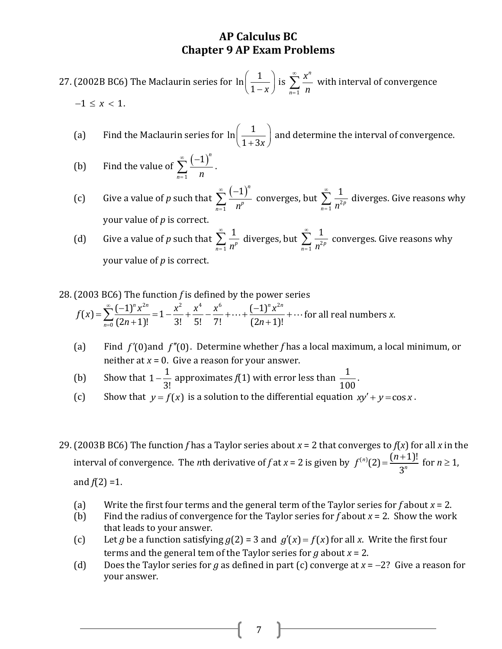27. (2002B BC6) The Maclaurin series for  $\ln\left(\frac{1}{\epsilon}\right)$  $\left(\frac{1}{1-x}\right)$  is 1 *n n x n* ∞  $\sum_{n=1}^{\infty} \frac{x}{n}$  with interval of convergence  $-1 \le x < 1$ .

- (a) Find the Maclaurin series for  $\ln\left(\frac{1}{1-\epsilon}\right)$  $\left(\frac{1}{1+3x}\right)$  and determine the interval of convergence.
- (b) Find the value of  $(-1)^{7}$ 1 1 *n*  $\sum_{n=1}$  *n* ∞ =  $\sum_{n=1}^{\infty} \frac{(-1)^n}{n}$ .
- (c) Give a value of *p* such that  $(-1)^{7}$ 1 1 *n*  $\sum_{n=1}^{\infty} n^p$ ∞ =  $\sum\limits_{n=1}^{\infty}\frac{\left( -1\right) ^{n}}{n^{p}}$  converges, but  $\sum\limits_{n=1}^{\infty}\frac{1}{n^{2}}$ 1  $\sum_{n=1}^{\infty} n^{2p}$ ∞  $\sum_{n=1}^{\infty} \frac{1}{n^{2p}}$  diverges. Give reasons why your value of *p* is correct.
- (d) Give a value of *p* such that 1 1  $\sum_{n=1}^{\infty} n^p$ ∞  $\sum_{n=1}^{\infty} \frac{1}{n^p}$  diverges, but  $\sum_{n=1}^{\infty} \frac{1}{n^2}$ 1  $\sum_{n=1}$   $n^{2p}$  $^{\circ}$  $\sum_{n=1}^{\infty} \frac{1}{n^{2p}}$  converges. Give reasons why your value of *p* is correct.
- 28. (2003 BC6) The function *f* is defined by the power series<br>  $\int_{c}^{\infty} (-1)^n x^{2n} dx^2 + x^4 = x^6$   $(-1)^n x^{2n}$ ne function *f* is defined by the power<br> $\int_0^n x^{2n}$ ,  $x^2$ ,  $x^4$ ,  $x^6$ ,  $(-1)^n x^{2n}$

(2003 BC6) The function *f* is defined by the power series  

$$
f(x) = \sum_{n=0}^{\infty} \frac{(-1)^n x^{2n}}{(2n+1)!} = 1 - \frac{x^2}{3!} + \frac{x^4}{5!} - \frac{x^6}{7!} + \dots + \frac{(-1)^n x^{2n}}{(2n+1)!} + \dots
$$
for all real numbers *x*.

- (a) Find  $f'(0)$  and  $f''(0)$ . Determine whether f has a local maximum, a local minimum, or neither at  $x = 0$ . Give a reason for your answer.
- (b) Show that  $1-\frac{1}{2}$ 3!  $-\frac{1}{2}$  approximates  $f(1)$  with error less than  $\frac{1}{10}$ 100 .
- (c) Show that  $y = f(x)$  is a solution to the differential equation  $xy' + y = \cos x$ .

29. (2003B BC6) The function *f* has a Taylor series about *x* = 2 that converges to *f*(*x*) for all *x* in the interval of convergence. The *n*th derivative of f at  $x = 2$  is given by  $f^{(n)}(2) = \frac{(n+1)!}{2^n}$ 3 *n n*  $f^{(n)}(2) = \frac{(n-1)(n-1)}{2}$  $=\frac{(n+1)!}{2^n}$  for  $n \ge 1$ , and  $f(2) = 1$ .

- (a) Write the first four terms and the general term of the Taylor series for *f* about *x* = 2.
- (b) Find the radius of convergence for the Taylor series for *f* about *x* = 2. Show the work that leads to your answer.
- (c) Let *g* be a function satisfying  $g(2) = 3$  and  $g'(x) = f(x)$  for all *x*. Write the first four terms and the general tem of the Taylor series for  $q$  about  $x = 2$ .
- (d) Does the Taylor series for *g* as defined in part (c) converge at  $x = -2$ ? Give a reason for your answer.

7 | |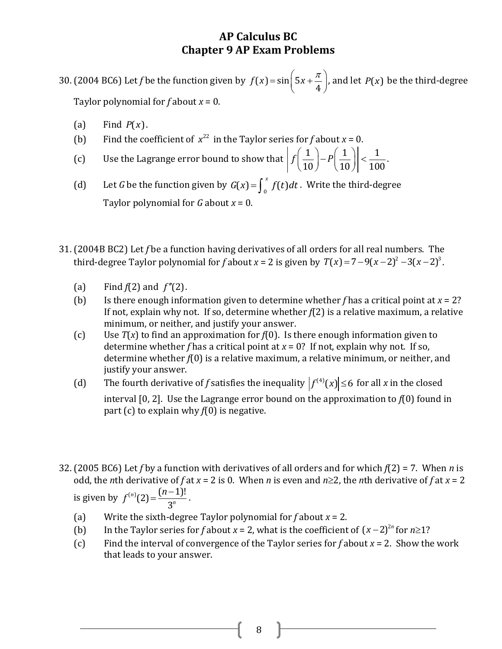30. (2004 BC6) Let f be the function given by  $f(x) = \sin \left( \frac{1}{2} \right)$ 4  $f(x) = \sin\left(5x + \frac{\pi}{4}\right)$ , and let  $P(x)$  be the third-degree Taylor polynomial for *f* about *x* = 0.

- (a) Find  $P(x)$ .
- (b) Find the coefficient of  $x^{22}$  in the Taylor series for *f* about  $x = 0$ .
- (c) Use the Lagrange error bound to show that  $\left| f\left(\frac{1}{10}\right) P\left(\frac{1}{10}\right) \right| < \frac{1}{10}$  $\frac{1}{10}$   $\Big| - P \Big( \frac{1}{10} \Big) \Big| \leq \frac{1}{100}$ *f*  $\left(\frac{1}{10}\right) - P\left(\frac{1}{10}\right)$  <  $\left|\frac{1}{10}\right|$ .
- (d) Let *G* be the function given by  $G(x) = \int_0^x f(t) dt$ . Write the third-degree Taylor polynomial for *G* about *x* = 0.
- 31. (2004B BC2) Let *f* be a function having derivatives of all orders for all real numbers. The (2004B BC2) Let *f* be a function naving derivatives of all orders for all real numbers. The third-degree Taylor polynomial for *f* about  $x = 2$  is given by  $T(x) = 7 - 9(x - 2)^2 - 3(x - 2)^3$ .
	- (a) Find  $f(2)$  and  $f''(2)$ .
	- (b) Is there enough information given to determine whether  $f$  has a critical point at  $x = 2$ ? If not, explain why not. If so, determine whether *f*(2) is a relative maximum, a relative minimum, or neither, and justify your answer.
	- (c) Use *T*(*x*) to find an approximation for *f*(0). Is there enough information given to determine whether *f* has a critical point at  $x = 0$ ? If not, explain why not. If so, determine whether *f*(0) is a relative maximum, a relative minimum, or neither, and justify your answer.
	- (d) The fourth derivative of *f* satisfies the inequality  $|f^{(4)}(x)| \leq 6$  for all *x* in the closed interval [0, 2]. Use the Lagrange error bound on the approximation to *f*(0) found in part (c) to explain why *f*(0) is negative.
- 32. (2005 BC6) Let *f* by a function with derivatives of all orders and for which *f*(2) = 7. When *n* is odd, the *n*th derivative of *f* at  $x = 2$  is 0. When *n* is even and  $n \ge 2$ , the *n*th derivative of *f* at  $x = 2$ is given by  $f^{(n)}(2) = \frac{(n-1)!}{2^n}$ 3 *n n*  $f^{(n)}(2) = \frac{(n-1)(n-1)}{2}$  $=\frac{(n-1)!}{2^n}$ .
	- (a) Write the sixth-degree Taylor polynomial for *f* about *x* = 2.
	- (b) In the Taylor series for *f* about *x* = 2, what is the coefficient of  $(x-2)^{2n}$  for  $n \ge 1$ ?
	- (c) Find the interval of convergence of the Taylor series for *f* about *x* = 2. Show the work that leads to your answer.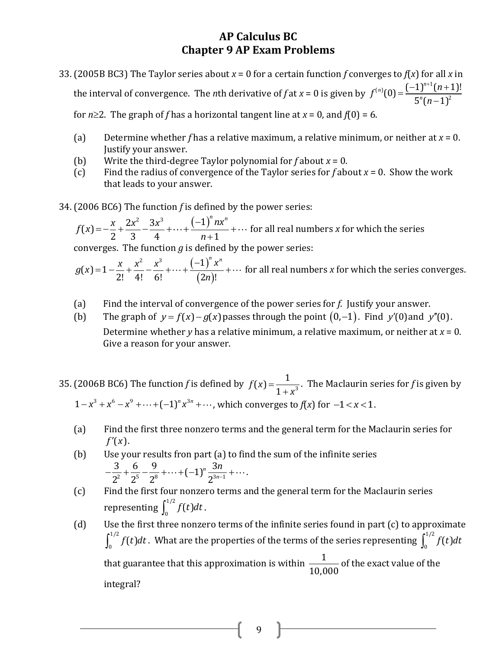33. (2005B BC3) The Taylor series about  $x = 0$  for a certain function *f* converges to *f*(*x*) for all *x* in the interval of convergence. The *n*th derivative of *f* at *x* = 0 is given by  $(n)$  (0)  $-(-1)^{n+1}$  $(0) = \frac{(-1)^{n+1}(n+1)!}{5^n(n+1)^2}$  $\frac{1}{5^n(n-1)}$  $^{(n)}(0)$   $(-1)^n$ *n*  $f^{(n)}(0) = \frac{(-1)^{n+1}(n)}{2n}$ *n*  $=\frac{(-1)^{n+1}(n+1)}{2n(n+1)^2}$ -

for  $n \ge 2$ . The graph of f has a horizontal tangent line at  $x = 0$ , and  $f(0) = 6$ .

- (a) Determine whether *f* has a relative maximum, a relative minimum, or neither at *x* = 0. Justify your answer.
- (b) Write the third-degree Taylor polynomial for *f* about *x* = 0.
- (c) Find the radius of convergence of the Taylor series for *f* about *x* = 0. Show the work that leads to your answer.
- 34. (2006 BC6) The function *f* is defined by the power series:

2006 BC6) The function *f* is defi-<br>  $f(x) = -\frac{x}{2} + \frac{2x^2}{3} - \frac{3x^3}{4} + \dots + \frac{(-1)^n}{n}$  $\frac{x}{2} + \frac{2x^2}{3} - \frac{3x^3}{4} + \dots + \frac{(-1)^n nx^n}{n+1}$ [2006 BC6] The function *f* is defined<br>  $f(x) = -\frac{x}{2} + \frac{2x^2}{3} - \frac{3x^3}{4} + \dots + \frac{(-1)^n nx}{n+1}$ - $= -\frac{x}{2} + \frac{2x^2}{3} - \frac{3x^3}{4} + \dots + \frac{(-1)^n nx^n}{n+1} + \dots$  for for all real numbers *x* for which the series converges. The function *g* is defined by the power series:

 $(-1)^{7}$  $(2n)$  $(x)=1-\frac{x}{2!}+\frac{x^2}{4!}-\frac{x^3}{6!}+\cdots+\frac{(-1)^2}{(2)}$  $\frac{x}{2!} + \frac{x^2}{4!} - \frac{x^3}{6!} + \dots + \frac{(-1)^n x^n}{(2n)!}$ converges. The function *g* is define<br>  $g(x)=1-\frac{x}{2!}+\frac{x^2}{4!}-\frac{x^3}{6!}+\cdots+\frac{(-1)^n x}{(2n)!}$  $f(x) = 1 - \frac{x}{2!} + \frac{x^2}{4!} - \frac{x^3}{6!} + \dots + \frac{(-1)^n x^n}{(2n)!} + \dots$  for all real numbers *x* for which the series converges.

- (a) Find the interval of convergence of the power series for *f*. Justify your answer.
- (b) The graph of  $y = f(x) g(x)$  passes through the point  $(0,-1)$ . Find y'(0) and y''(0). Determine whether *y* has a relative minimum, a relative maximum, or neither at *x* = 0. Give a reason for your answer.
- 35. (2006B BC6) The function *f* is defined by  $f(x) = \frac{1}{1+y^3}$  $f(x) = \frac{1}{1+x^2}$ 1 *f x x*  $=$  $\ddot{}$ . The Maclaurin series for *f* is given by  $1 + x^3$ <br> $1 - x^3 + x^6 - x^9 + \dots + (-1)^n x^{3n} + \dots$ , which converges to *f*(*x*) for  $-1 < x < 1$ .
	- (a) Find the first three nonzero terms and the general term for the Maclaurin series for  $f'(x)$ .
	- (b) Use your results fron part (a) to find the sum of the infinite series e your results fron part (a)<br> $\frac{3}{2^2} + \frac{6}{2^5} - \frac{9}{2^8} + \dots + (-1)^n \frac{3n}{2^{3n-1}}$  $\frac{3}{2^2} + \frac{6}{2^5} - \frac{9}{2^8} + \dots + (-1)^n \frac{1}{2^n}$ *n n*  $-\frac{3}{2^2}+\frac{6}{2^5}-\frac{9}{2^8}+\cdots+(-1)^n\frac{3n}{2^{3n-1}}+\cdots$
	- (c) Find the first four nonzero terms and the general term for the Maclaurin series representing  $\int_{0}^{1/2}$  $\int_0^{t/2} f(t) dt$ .
	- (d) Use the first three nonzero terms of the infinite series found in part  $(c)$  to approximate 1/2  $\int_0^{1/2} f(t) dt$  . What are the properties of the terms of the series representing  $\int_0^{1/2}$  $\int_0^{t/2} f(t) dt$ that guarantee that this approximation is within  $\frac{1}{100}$ 10,000 of the exact value of the integral?